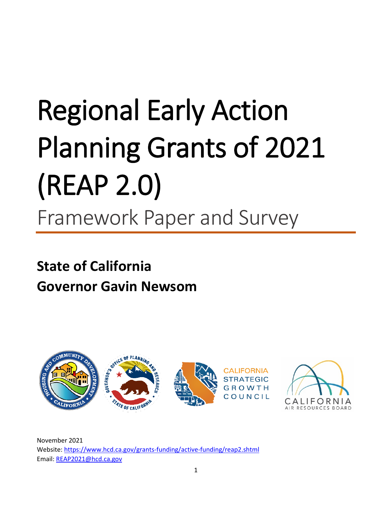# Regional Early Action Planning Grants of 2021 (REAP 2.0) Framework Paper and Survey

# **State of California Governor Gavin Newsom**



November 2021 Website: <https://www.hcd.ca.gov/grants-funding/active-funding/reap2.shtml> Email: [REAP2021@hcd.ca.gov](mailto:REAP2021@hcd.ca.gov)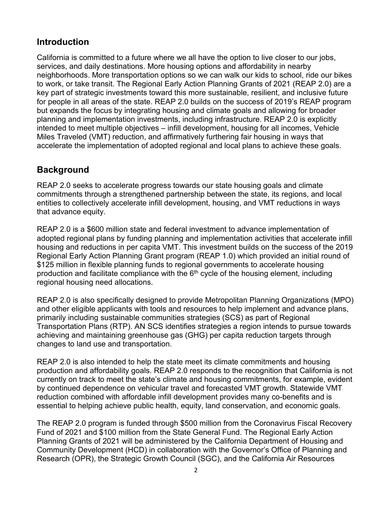## **Introduction**

California is committed to a future where we all have the option to live closer to our jobs, services, and daily destinations. More housing options and affordability in nearby neighborhoods. More transportation options so we can walk our kids to school, ride our bikes to work, or take transit. The Regional Early Action Planning Grants of 2021 (REAP 2.0) are a key part of strategic investments toward this more sustainable, resilient, and inclusive future for people in all areas of the state. REAP 2.0 builds on the success of 2019's REAP program but expands the focus by integrating housing and climate goals and allowing for broader planning and implementation investments, including infrastructure. REAP 2.0 is explicitly intended to meet multiple objectives – infill development, housing for all incomes, Vehicle Miles Traveled (VMT) reduction, and affirmatively furthering fair housing in ways that accelerate the implementation of adopted regional and local plans to achieve these goals.

# **Background**

REAP 2.0 seeks to accelerate progress towards our state housing goals and climate commitments through a strengthened partnership between the state, its regions, and local entities to collectively accelerate infill development, housing, and VMT reductions in ways that advance equity.

REAP 2.0 is a \$600 million state and federal investment to advance implementation of adopted regional plans by funding planning and implementation activities that accelerate infill housing and reductions in per capita VMT. This investment builds on the success of the 2019 Regional Early Action Planning Grant program (REAP 1.0) which provided an initial round of \$125 million in flexible planning funds to regional governments to accelerate housing production and facilitate compliance with the  $6<sup>th</sup>$  cycle of the housing element, including regional housing need allocations.

REAP 2.0 is also specifically designed to provide Metropolitan Planning Organizations (MPO) and other eligible applicants with tools and resources to help implement and advance plans, primarily including sustainable communities strategies (SCS) as part of Regional Transportation Plans (RTP). AN SCS identifies strategies a region intends to pursue towards achieving and maintaining greenhouse gas (GHG) per capita reduction targets through changes to land use and transportation.

REAP 2.0 is also intended to help the state meet its climate commitments and housing production and affordability goals. REAP 2.0 responds to the recognition that California is not currently on track to meet the state's climate and housing commitments, for example, evident by continued dependence on vehicular travel and forecasted VMT growth. Statewide VMT reduction combined with affordable infill development provides many co-benefits and is essential to helping achieve public health, equity, land conservation, and economic goals.

The REAP 2.0 program is funded through \$500 million from the Coronavirus Fiscal Recovery Fund of 2021 and \$100 million from the State General Fund. The Regional Early Action Planning Grants of 2021 will be administered by the California Department of Housing and Community Development (HCD) in collaboration with the Governor's Office of Planning and Research (OPR), the Strategic Growth Council (SGC), and the California Air Resources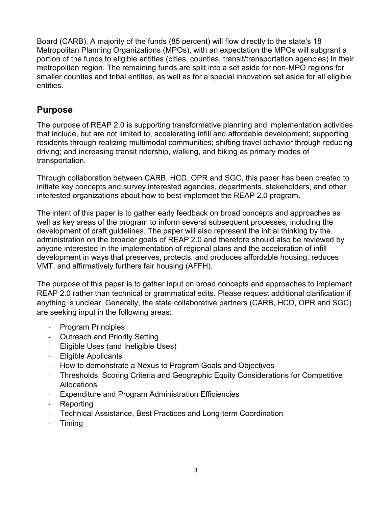Board (CARB). A majority of the funds (85 percent) will flow directly to the state's 18 Metropolitan Planning Organizations (MPOs), with an expectation the MPOs will subgrant a portion of the funds to eligible entities (cities, counties, transit/transportation agencies) in their metropolitan region. The remaining funds are split into a set aside for non-MPO regions for smaller counties and tribal entities, as well as for a special innovation set aside for all eligible entities.

#### **Purpose**

The purpose of REAP 2.0 is supporting transformative planning and implementation activities that include, but are not limited to, accelerating infill and affordable development; supporting residents through realizing multimodal communities; shifting travel behavior through reducing driving; and increasing transit ridership, walking, and biking as primary modes of transportation.

Through collaboration between CARB, HCD, OPR and SGC, this paper has been created to initiate key concepts and survey interested agencies, departments, stakeholders, and other interested organizations about how to best implement the REAP 2.0 program.

The intent of this paper is to gather early feedback on broad concepts and approaches as well as key areas of the program to inform several subsequent processes, including the development of draft guidelines. The paper will also represent the initial thinking by the administration on the broader goals of REAP 2.0 and therefore should also be reviewed by anyone interested in the implementation of regional plans and the acceleration of infill development in ways that preserves, protects, and produces affordable housing, reduces VMT, and affirmatively furthers fair housing (AFFH).

The purpose of this paper is to gather input on broad concepts and approaches to implement REAP 2.0 rather than technical or grammatical edits. Please request additional clarification if anything is unclear. Generally, the state collaborative partners (CARB, HCD, OPR and SGC) are seeking input in the following areas:

- Program Principles
- Outreach and Priority Setting
- Eligible Uses (and Ineligible Uses)
- Eligible Applicants
- How to demonstrate a Nexus to Program Goals and Objectives
- Thresholds, Scoring Criteria and Geographic Equity Considerations for Competitive **Allocations**
- Expenditure and Program Administration Efficiencies
- **Reporting**
- Technical Assistance, Best Practices and Long-term Coordination
- Timing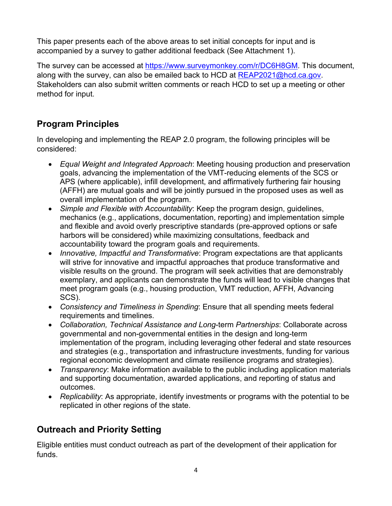This paper presents each of the above areas to set initial concepts for input and is accompanied by a survey to gather additional feedback (See Attachment 1).

The survey can be accessed at [https://www.surveymonkey.com/r/DC6H8GM.](https://www.surveymonkey.com/r/DC6H8GM) This document, along with the survey, can also be emailed back to HCD at  $REAP2021@hcd.ca.gov$ . Stakeholders can also submit written comments or reach HCD to set up a meeting or other method for input.

# **Program Principles**

In developing and implementing the REAP 2.0 program, the following principles will be considered:

- *Equal Weight and Integrated Approach*: Meeting housing production and preservation goals, advancing the implementation of the VMT-reducing elements of the SCS or APS (where applicable), infill development, and affirmatively furthering fair housing (AFFH) are mutual goals and will be jointly pursued in the proposed uses as well as overall implementation of the program.
- *Simple and Flexible with Accountability*: Keep the program design, guidelines, mechanics (e.g., applications, documentation, reporting) and implementation simple and flexible and avoid overly prescriptive standards (pre-approved options or safe harbors will be considered) while maximizing consultations, feedback and accountability toward the program goals and requirements.
- *Innovative, Impactful and Transformative*: Program expectations are that applicants will strive for innovative and impactful approaches that produce transformative and visible results on the ground. The program will seek activities that are demonstrably exemplary, and applicants can demonstrate the funds will lead to visible changes that meet program goals (e.g., housing production, VMT reduction, AFFH, Advancing SCS).
- *Consistency and Timeliness in Spending*: Ensure that all spending meets federal requirements and timelines.
- *Collaboration, Technical Assistance and Long*-term *Partnerships*: Collaborate across governmental and non-governmental entities in the design and long-term implementation of the program, including leveraging other federal and state resources and strategies (e.g., transportation and infrastructure investments, funding for various regional economic development and climate resilience programs and strategies).
- *Transparency*: Make information available to the public including application materials and supporting documentation, awarded applications, and reporting of status and outcomes.
- *Replicability*: As appropriate, identify investments or programs with the potential to be replicated in other regions of the state.

# **Outreach and Priority Setting**

Eligible entities must conduct outreach as part of the development of their application for funds.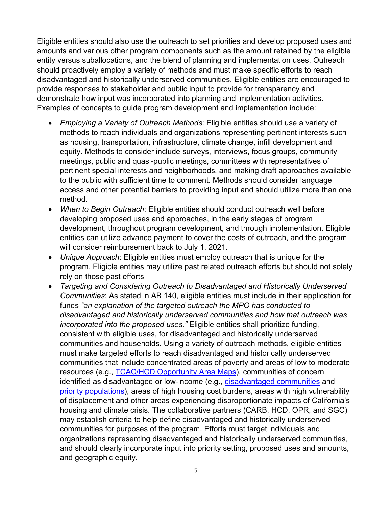Eligible entities should also use the outreach to set priorities and develop proposed uses and amounts and various other program components such as the amount retained by the eligible entity versus suballocations, and the blend of planning and implementation uses. Outreach should proactively employ a variety of methods and must make specific efforts to reach disadvantaged and historically underserved communities. Eligible entities are encouraged to provide responses to stakeholder and public input to provide for transparency and demonstrate how input was incorporated into planning and implementation activities. Examples of concepts to guide program development and implementation include:

- *Employing a Variety of Outreach Methods*: Eligible entities should use a variety of methods to reach individuals and organizations representing pertinent interests such as housing, transportation, infrastructure, climate change, infill development and equity. Methods to consider include surveys, interviews, focus groups, community meetings, public and quasi-public meetings, committees with representatives of pertinent special interests and neighborhoods, and making draft approaches available to the public with sufficient time to comment. Methods should consider language access and other potential barriers to providing input and should utilize more than one method.
- *When to Begin Outreach*: Eligible entities should conduct outreach well before developing proposed uses and approaches, in the early stages of program development, throughout program development, and through implementation. Eligible entities can utilize advance payment to cover the costs of outreach, and the program will consider reimbursement back to July 1, 2021.
- *Unique Approach*: Eligible entities must employ outreach that is unique for the program. Eligible entities may utilize past related outreach efforts but should not solely rely on those past efforts
- *Targeting and Considering Outreach to Disadvantaged and Historically Underserved Communities*: As stated in AB 140, eligible entities must include in their application for funds *"an explanation of the targeted outreach the MPO has conducted to disadvantaged and historically underserved communities and how that outreach was incorporated into the proposed uses."* Eligible entities shall prioritize funding, consistent with eligible uses, for disadvantaged and historically underserved communities and households. Using a variety of outreach methods, eligible entities must make targeted efforts to reach disadvantaged and historically underserved communities that include concentrated areas of poverty and areas of low to moderate resources (e.g., [TCAC/HCD Opportunity Area Maps\)](https://www.treasurer.ca.gov/ctcac/opportunity.asp), communities of concern identified as disadvantaged or low-income (e.g., [disadvantaged communities](https://oehha.ca.gov/calenviroscreen/sb535) and [priority populations\)](https://webmaps.arb.ca.gov/PriorityPopulations/), areas of high housing cost burdens, areas with high vulnerability of displacement and other areas experiencing disproportionate impacts of California's housing and climate crisis. The collaborative partners (CARB, HCD, OPR, and SGC) may establish criteria to help define disadvantaged and historically underserved communities for purposes of the program. Efforts must target individuals and organizations representing disadvantaged and historically underserved communities, and should clearly incorporate input into priority setting, proposed uses and amounts, and geographic equity.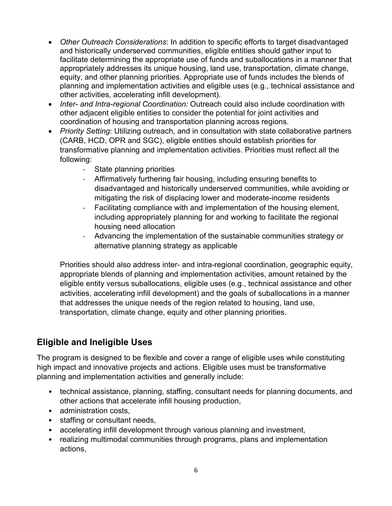- *Other Outreach Considerations*: In addition to specific efforts to target disadvantaged and historically underserved communities, eligible entities should gather input to facilitate determining the appropriate use of funds and suballocations in a manner that appropriately addresses its unique housing, land use, transportation, climate change, equity, and other planning priorities. Appropriate use of funds includes the blends of planning and implementation activities and eligible uses (e.g., technical assistance and other activities, accelerating infill development).
- *Inter- and Intra-regional Coordination:* Outreach could also include coordination with other adjacent eligible entities to consider the potential for joint activities and coordination of housing and transportation planning across regions.
- *Priority Setting*: Utilizing outreach, and in consultation with state collaborative partners (CARB, HCD, OPR and SGC), eligible entities should establish priorities for transformative planning and implementation activities. Priorities must reflect all the following:
	- State planning priorities
	- Affirmatively furthering fair housing, including ensuring benefits to disadvantaged and historically underserved communities, while avoiding or mitigating the risk of displacing lower and moderate-income residents
	- Facilitating compliance with and implementation of the housing element, including appropriately planning for and working to facilitate the regional housing need allocation
	- Advancing the implementation of the sustainable communities strategy or alternative planning strategy as applicable

Priorities should also address inter- and intra-regional coordination, geographic equity, appropriate blends of planning and implementation activities, amount retained by the eligible entity versus suballocations, eligible uses (e.g., technical assistance and other activities, accelerating infill development) and the goals of suballocations in a manner that addresses the unique needs of the region related to housing, land use, transportation, climate change, equity and other planning priorities.

# **Eligible and Ineligible Uses**

The program is designed to be flexible and cover a range of eligible uses while constituting high impact and innovative projects and actions. Eligible uses must be transformative planning and implementation activities and generally include:

- technical assistance, planning, staffing, consultant needs for planning documents, and other actions that accelerate infill housing production,
- administration costs,
- staffing or consultant needs,
- accelerating infill development through various planning and investment,
- realizing multimodal communities through programs, plans and implementation actions,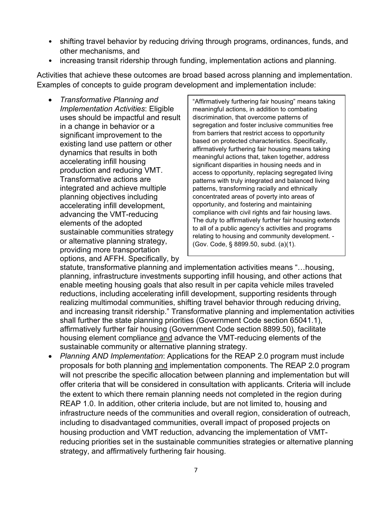- shifting travel behavior by reducing driving through programs, ordinances, funds, and other mechanisms, and
- increasing transit ridership through funding, implementation actions and planning.

Activities that achieve these outcomes are broad based across planning and implementation. Examples of concepts to guide program development and implementation include:

• *Transformative Planning and Implementation Activities*: Eligible uses should be impactful and result in a change in behavior or a significant improvement to the existing land use pattern or other dynamics that results in both accelerating infill housing production and reducing VMT. Transformative actions are integrated and achieve multiple planning objectives including accelerating infill development, advancing the VMT-reducing elements of the adopted sustainable communities strategy or alternative planning strategy, providing more transportation options, and AFFH. Specifically, by

"Affirmatively furthering fair housing" means taking meaningful actions, in addition to combating discrimination, that overcome patterns of segregation and foster inclusive communities free from barriers that restrict access to opportunity based on protected characteristics. Specifically, affirmatively furthering fair housing means taking meaningful actions that, taken together, address significant disparities in housing needs and in access to opportunity, replacing segregated living patterns with truly integrated and balanced living patterns, transforming racially and ethnically concentrated areas of poverty into areas of opportunity, and fostering and maintaining compliance with civil rights and fair housing laws. The duty to affirmatively further fair housing extends to all of a public agency's activities and programs relating to housing and community development. - (Gov. Code, § 8899.50, subd. (a)(1).

statute, transformative planning and implementation activities means "…housing, planning, infrastructure investments supporting infill housing, and other actions that enable meeting housing goals that also result in per capita vehicle miles traveled reductions, including accelerating infill development, supporting residents through realizing multimodal communities, shifting travel behavior through reducing driving, and increasing transit ridership." Transformative planning and implementation activities shall further the state planning priorities (Government Code section 65041.1), affirmatively further fair housing (Government Code section 8899.50), facilitate housing element compliance and advance the VMT-reducing elements of the sustainable community or alternative planning strategy.

• *Planning AND Implementation*: Applications for the REAP 2.0 program must include proposals for both planning and implementation components. The REAP 2.0 program will not prescribe the specific allocation between planning and implementation but will offer criteria that will be considered in consultation with applicants. Criteria will include the extent to which there remain planning needs not completed in the region during REAP 1.0. In addition, other criteria include, but are not limited to, housing and infrastructure needs of the communities and overall region, consideration of outreach, including to disadvantaged communities, overall impact of proposed projects on housing production and VMT reduction, advancing the implementation of VMTreducing priorities set in the sustainable communities strategies or alternative planning strategy, and affirmatively furthering fair housing.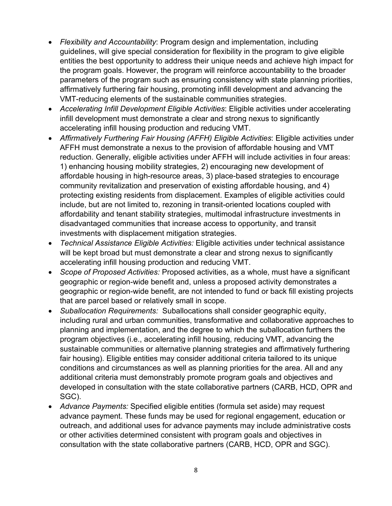- *Flexibility and Accountability*: Program design and implementation, including guidelines, will give special consideration for flexibility in the program to give eligible entities the best opportunity to address their unique needs and achieve high impact for the program goals. However, the program will reinforce accountability to the broader parameters of the program such as ensuring consistency with state planning priorities, affirmatively furthering fair housing, promoting infill development and advancing the VMT-reducing elements of the sustainable communities strategies.
- *Accelerating Infill Development Eligible Activities*: Eligible activities under accelerating infill development must demonstrate a clear and strong nexus to significantly accelerating infill housing production and reducing VMT.
- *Affirmatively Furthering Fair Housing (AFFH) Eligible Activities*: Eligible activities under AFFH must demonstrate a nexus to the provision of affordable housing and VMT reduction. Generally, eligible activities under AFFH will include activities in four areas: 1) enhancing housing mobility strategies, 2) encouraging new development of affordable housing in high-resource areas, 3) place-based strategies to encourage community revitalization and preservation of existing affordable housing, and 4) protecting existing residents from displacement. Examples of eligible activities could include, but are not limited to, rezoning in transit-oriented locations coupled with affordability and tenant stability strategies, multimodal infrastructure investments in disadvantaged communities that increase access to opportunity, and transit investments with displacement mitigation strategies.
- *Technical Assistance Eligible Activities:* Eligible activities under technical assistance will be kept broad but must demonstrate a clear and strong nexus to significantly accelerating infill housing production and reducing VMT.
- *Scope of Proposed Activities:* Proposed activities, as a whole, must have a significant geographic or region-wide benefit and, unless a proposed activity demonstrates a geographic or region-wide benefit, are not intended to fund or back fill existing projects that are parcel based or relatively small in scope.
- *Suballocation Requirements:* Suballocations shall consider geographic equity, including rural and urban communities, transformative and collaborative approaches to planning and implementation, and the degree to which the suballocation furthers the program objectives (i.e., accelerating infill housing, reducing VMT, advancing the sustainable communities or alternative planning strategies and affirmatively furthering fair housing). Eligible entities may consider additional criteria tailored to its unique conditions and circumstances as well as planning priorities for the area. All and any additional criteria must demonstrably promote program goals and objectives and developed in consultation with the state collaborative partners (CARB, HCD, OPR and SGC).
- *Advance Payments:* Specified eligible entities (formula set aside) may request advance payment. These funds may be used for regional engagement, education or outreach, and additional uses for advance payments may include administrative costs or other activities determined consistent with program goals and objectives in consultation with the state collaborative partners (CARB, HCD, OPR and SGC).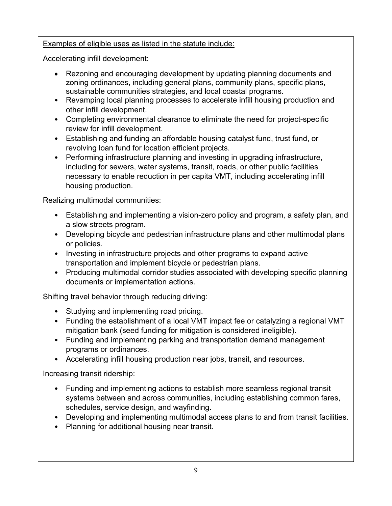#### Examples of eligible uses as listed in the statute include:

Accelerating infill development:

- Rezoning and encouraging development by updating planning documents and zoning ordinances, including general plans, community plans, specific plans, sustainable communities strategies, and local coastal programs.
- Revamping local planning processes to accelerate infill housing production and other infill development.
- Completing environmental clearance to eliminate the need for project-specific review for infill development.
- Establishing and funding an affordable housing catalyst fund, trust fund, or revolving loan fund for location efficient projects.
- Performing infrastructure planning and investing in upgrading infrastructure, including for sewers, water systems, transit, roads, or other public facilities necessary to enable reduction in per capita VMT, including accelerating infill housing production.

Realizing multimodal communities:

- Establishing and implementing a vision-zero policy and program, a safety plan, and a slow streets program.
- Developing bicycle and pedestrian infrastructure plans and other multimodal plans or policies.
- Investing in infrastructure projects and other programs to expand active transportation and implement bicycle or pedestrian plans.
- Producing multimodal corridor studies associated with developing specific planning documents or implementation actions.

Shifting travel behavior through reducing driving:

- Studying and implementing road pricing.
- Funding the establishment of a local VMT impact fee or catalyzing a regional VMT mitigation bank (seed funding for mitigation is considered ineligible).
- Funding and implementing parking and transportation demand management programs or ordinances.
- Accelerating infill housing production near jobs, transit, and resources.

Increasing transit ridership:

- Funding and implementing actions to establish more seamless regional transit systems between and across communities, including establishing common fares, schedules, service design, and wayfinding.
- Developing and implementing multimodal access plans to and from transit facilities.
- Planning for additional housing near transit.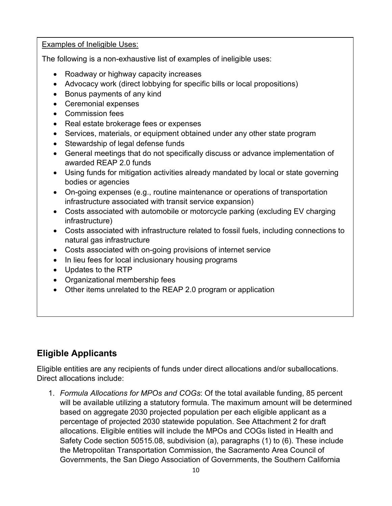Examples of Ineligible Uses:

The following is a non-exhaustive list of examples of ineligible uses:

- Roadway or highway capacity increases
- Advocacy work (direct lobbying for specific bills or local propositions)
- Bonus payments of any kind
- Ceremonial expenses
- Commission fees
- Real estate brokerage fees or expenses
- Services, materials, or equipment obtained under any other state program
- Stewardship of legal defense funds
- General meetings that do not specifically discuss or advance implementation of awarded REAP 2.0 funds
- Using funds for mitigation activities already mandated by local or state governing bodies or agencies
- On-going expenses (e.g., routine maintenance or operations of transportation infrastructure associated with transit service expansion)
- Costs associated with automobile or motorcycle parking (excluding EV charging infrastructure)
- Costs associated with infrastructure related to fossil fuels, including connections to natural gas infrastructure
- Costs associated with on-going provisions of internet service
- In lieu fees for local inclusionary housing programs
- Updates to the RTP
- Organizational membership fees
- Other items unrelated to the REAP 2.0 program or application

# **Eligible Applicants**

Eligible entities are any recipients of funds under direct allocations and/or suballocations. Direct allocations include:

1. *Formula Allocations for MPOs and COGs*: Of the total available funding, 85 percent will be available utilizing a statutory formula. The maximum amount will be determined based on aggregate 2030 projected population per each eligible applicant as a percentage of projected 2030 statewide population. See Attachment 2 for draft allocations. Eligible entities will include the MPOs and COGs listed in Health and Safety Code section 50515.08, subdivision (a), paragraphs (1) to (6). These include the Metropolitan Transportation Commission, the Sacramento Area Council of Governments, the San Diego Association of Governments, the Southern California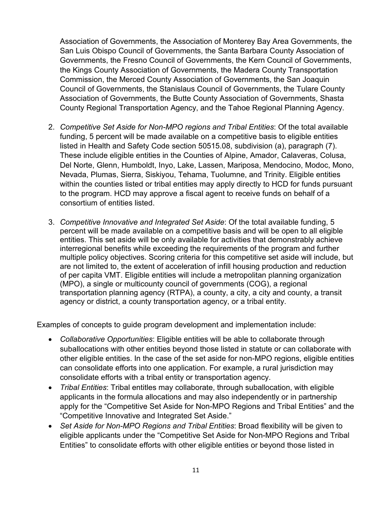Association of Governments, the Association of Monterey Bay Area Governments, the San Luis Obispo Council of Governments, the Santa Barbara County Association of Governments, the Fresno Council of Governments, the Kern Council of Governments, the Kings County Association of Governments, the Madera County Transportation Commission, the Merced County Association of Governments, the San Joaquin Council of Governments, the Stanislaus Council of Governments, the Tulare County Association of Governments, the Butte County Association of Governments, Shasta County Regional Transportation Agency, and the Tahoe Regional Planning Agency.

- 2. *Competitive Set Aside for Non-MPO regions and Tribal Entities*: Of the total available funding, 5 percent will be made available on a competitive basis to eligible entities listed in Health and Safety Code section 50515.08, subdivision (a), paragraph (7). These include eligible entities in the Counties of Alpine, Amador, Calaveras, Colusa, Del Norte, Glenn, Humboldt, Inyo, Lake, Lassen, Mariposa, Mendocino, Modoc, Mono, Nevada, Plumas, Sierra, Siskiyou, Tehama, Tuolumne, and Trinity. Eligible entities within the counties listed or tribal entities may apply directly to HCD for funds pursuant to the program. HCD may approve a fiscal agent to receive funds on behalf of a consortium of entities listed.
- 3. *Competitive Innovative and Integrated Set Aside*: Of the total available funding, 5 percent will be made available on a competitive basis and will be open to all eligible entities. This set aside will be only available for activities that demonstrably achieve interregional benefits while exceeding the requirements of the program and further multiple policy objectives. Scoring criteria for this competitive set aside will include, but are not limited to, the extent of acceleration of infill housing production and reduction of per capita VMT. Eligible entities will include a metropolitan planning organization (MPO), a single or multicounty council of governments (COG), a regional transportation planning agency (RTPA), a county, a city, a city and county, a transit agency or district, a county transportation agency, or a tribal entity.

Examples of concepts to guide program development and implementation include:

- *Collaborative Opportunities*: Eligible entities will be able to collaborate through suballocations with other entities beyond those listed in statute or can collaborate with other eligible entities. In the case of the set aside for non-MPO regions, eligible entities can consolidate efforts into one application. For example, a rural jurisdiction may consolidate efforts with a tribal entity or transportation agency.
- *Tribal Entities*: Tribal entitles may collaborate, through suballocation, with eligible applicants in the formula allocations and may also independently or in partnership apply for the "Competitive Set Aside for Non-MPO Regions and Tribal Entities" and the "Competitive Innovative and Integrated Set Aside."
- *Set Aside for Non-MPO Regions and Tribal Entities*: Broad flexibility will be given to eligible applicants under the "Competitive Set Aside for Non-MPO Regions and Tribal Entities" to consolidate efforts with other eligible entities or beyond those listed in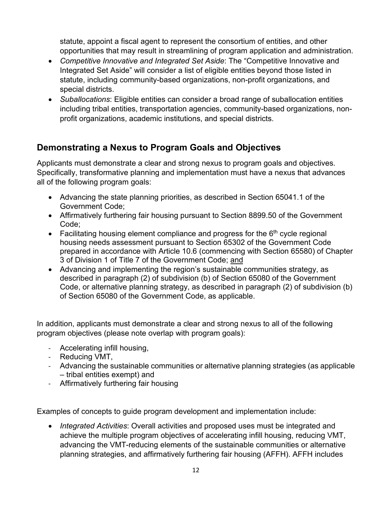statute, appoint a fiscal agent to represent the consortium of entities, and other opportunities that may result in streamlining of program application and administration.

- *Competitive Innovative and Integrated Set Aside*: The "Competitive Innovative and Integrated Set Aside" will consider a list of eligible entities beyond those listed in statute, including community-based organizations, non-profit organizations, and special districts.
- *Suballocations*: Eligible entities can consider a broad range of suballocation entities including tribal entities, transportation agencies, community-based organizations, nonprofit organizations, academic institutions, and special districts.

### **Demonstrating a Nexus to Program Goals and Objectives**

Applicants must demonstrate a clear and strong nexus to program goals and objectives. Specifically, transformative planning and implementation must have a nexus that advances all of the following program goals:

- Advancing the state planning priorities, as described in Section 65041.1 of the Government Code;
- Affirmatively furthering fair housing pursuant to Section 8899.50 of the Government Code;
- Facilitating housing element compliance and progress for the  $6<sup>th</sup>$  cycle regional housing needs assessment pursuant to Section 65302 of the Government Code prepared in accordance with Article 10.6 (commencing with Section 65580) of Chapter 3 of Division 1 of Title 7 of the Government Code; and
- Advancing and implementing the region's sustainable communities strategy, as described in paragraph (2) of subdivision (b) of Section 65080 of the Government Code, or alternative planning strategy, as described in paragraph (2) of subdivision (b) of Section 65080 of the Government Code, as applicable.

In addition, applicants must demonstrate a clear and strong nexus to all of the following program objectives (please note overlap with program goals):

- Accelerating infill housing,
- Reducing VMT,
- Advancing the sustainable communities or alternative planning strategies (as applicable – tribal entities exempt) and
- Affirmatively furthering fair housing

Examples of concepts to guide program development and implementation include:

• *Integrated Activities*: Overall activities and proposed uses must be integrated and achieve the multiple program objectives of accelerating infill housing, reducing VMT, advancing the VMT-reducing elements of the sustainable communities or alternative planning strategies, and affirmatively furthering fair housing (AFFH). AFFH includes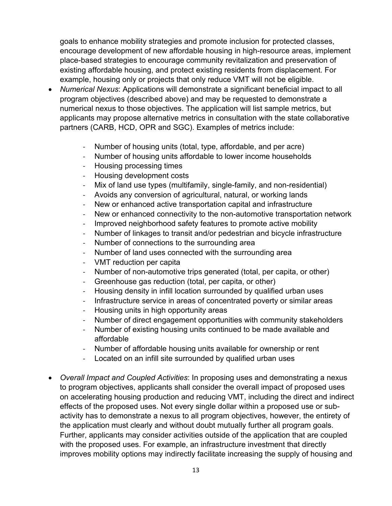goals to enhance mobility strategies and promote inclusion for protected classes, encourage development of new affordable housing in high-resource areas, implement place-based strategies to encourage community revitalization and preservation of existing affordable housing, and protect existing residents from displacement. For example, housing only or projects that only reduce VMT will not be eligible.

- *Numerical Nexus*: Applications will demonstrate a significant beneficial impact to all program objectives (described above) and may be requested to demonstrate a numerical nexus to those objectives. The application will list sample metrics, but applicants may propose alternative metrics in consultation with the state collaborative partners (CARB, HCD, OPR and SGC). Examples of metrics include:
	- Number of housing units (total, type, affordable, and per acre)
	- Number of housing units affordable to lower income households
	- Housing processing times
	- Housing development costs
	- Mix of land use types (multifamily, single-family, and non-residential)
	- Avoids any conversion of agricultural, natural, or working lands
	- New or enhanced active transportation capital and infrastructure
	- New or enhanced connectivity to the non-automotive transportation network
	- Improved neighborhood safety features to promote active mobility
	- Number of linkages to transit and/or pedestrian and bicycle infrastructure
	- Number of connections to the surrounding area
	- Number of land uses connected with the surrounding area
	- VMT reduction per capita
	- Number of non-automotive trips generated (total, per capita, or other)
	- Greenhouse gas reduction (total, per capita, or other)
	- Housing density in infill location surrounded by qualified urban uses
	- Infrastructure service in areas of concentrated poverty or similar areas
	- Housing units in high opportunity areas
	- Number of direct engagement opportunities with community stakeholders
	- Number of existing housing units continued to be made available and affordable
	- Number of affordable housing units available for ownership or rent
	- Located on an infill site surrounded by qualified urban uses
- *Overall Impact and Coupled Activities*: In proposing uses and demonstrating a nexus to program objectives, applicants shall consider the overall impact of proposed uses on accelerating housing production and reducing VMT, including the direct and indirect effects of the proposed uses. Not every single dollar within a proposed use or subactivity has to demonstrate a nexus to all program objectives, however, the entirety of the application must clearly and without doubt mutually further all program goals. Further, applicants may consider activities outside of the application that are coupled with the proposed uses. For example, an infrastructure investment that directly improves mobility options may indirectly facilitate increasing the supply of housing and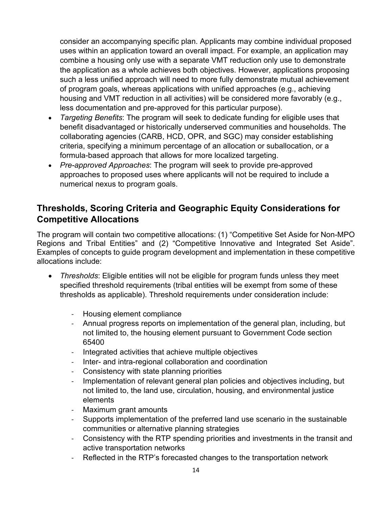consider an accompanying specific plan. Applicants may combine individual proposed uses within an application toward an overall impact. For example, an application may combine a housing only use with a separate VMT reduction only use to demonstrate the application as a whole achieves both objectives. However, applications proposing such a less unified approach will need to more fully demonstrate mutual achievement of program goals, whereas applications with unified approaches (e.g., achieving housing and VMT reduction in all activities) will be considered more favorably (e.g., less documentation and pre-approved for this particular purpose).

- *Targeting Benefits*: The program will seek to dedicate funding for eligible uses that benefit disadvantaged or historically underserved communities and households. The collaborating agencies (CARB, HCD, OPR, and SGC) may consider establishing criteria, specifying a minimum percentage of an allocation or suballocation, or a formula-based approach that allows for more localized targeting.
- *Pre-approved Approaches*: The program will seek to provide pre-approved approaches to proposed uses where applicants will not be required to include a numerical nexus to program goals.

### **Thresholds, Scoring Criteria and Geographic Equity Considerations for Competitive Allocations**

The program will contain two competitive allocations: (1) "Competitive Set Aside for Non-MPO Regions and Tribal Entities" and (2) "Competitive Innovative and Integrated Set Aside". Examples of concepts to guide program development and implementation in these competitive allocations include:

- *Thresholds*: Eligible entities will not be eligible for program funds unless they meet specified threshold requirements (tribal entities will be exempt from some of these thresholds as applicable). Threshold requirements under consideration include:
	- Housing element compliance
	- Annual progress reports on implementation of the general plan, including, but not limited to, the housing element pursuant to Government Code section 65400
	- Integrated activities that achieve multiple objectives
	- Inter- and intra-regional collaboration and coordination
	- Consistency with state planning priorities
	- Implementation of relevant general plan policies and objectives including, but not limited to, the land use, circulation, housing, and environmental justice elements
	- Maximum grant amounts
	- Supports implementation of the preferred land use scenario in the sustainable communities or alternative planning strategies
	- Consistency with the RTP spending priorities and investments in the transit and active transportation networks
	- Reflected in the RTP's forecasted changes to the transportation network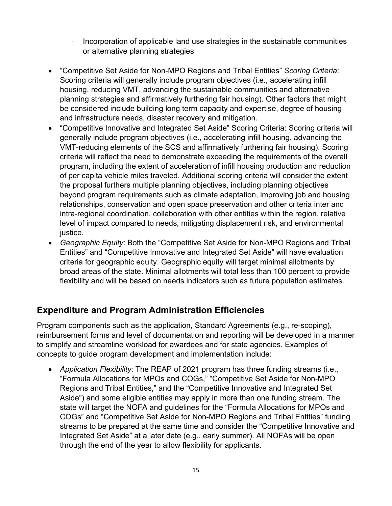- Incorporation of applicable land use strategies in the sustainable communities or alternative planning strategies
- "Competitive Set Aside for Non-MPO Regions and Tribal Entities" *Scoring Criteria*: Scoring criteria will generally include program objectives (i.e., accelerating infill housing, reducing VMT, advancing the sustainable communities and alternative planning strategies and affirmatively furthering fair housing). Other factors that might be considered include building long term capacity and expertise, degree of housing and infrastructure needs, disaster recovery and mitigation.
- "Competitive Innovative and Integrated Set Aside" Scoring Criteria: Scoring criteria will generally include program objectives (i.e., accelerating infill housing, advancing the VMT-reducing elements of the SCS and affirmatively furthering fair housing). Scoring criteria will reflect the need to demonstrate exceeding the requirements of the overall program, including the extent of acceleration of infill housing production and reduction of per capita vehicle miles traveled. Additional scoring criteria will consider the extent the proposal furthers multiple planning objectives, including planning objectives beyond program requirements such as climate adaptation, improving job and housing relationships, conservation and open space preservation and other criteria inter and intra-regional coordination, collaboration with other entities within the region, relative level of impact compared to needs, mitigating displacement risk, and environmental justice.
- *Geographic Equity*: Both the "Competitive Set Aside for Non-MPO Regions and Tribal Entities" and "Competitive Innovative and Integrated Set Aside" will have evaluation criteria for geographic equity. Geographic equity will target minimal allotments by broad areas of the state. Minimal allotments will total less than 100 percent to provide flexibility and will be based on needs indicators such as future population estimates.

### **Expenditure and Program Administration Efficiencies**

Program components such as the application, Standard Agreements (e.g., re-scoping), reimbursement forms and level of documentation and reporting will be developed in a manner to simplify and streamline workload for awardees and for state agencies. Examples of concepts to guide program development and implementation include:

• *Application Flexibility*: The REAP of 2021 program has three funding streams (i.e., "Formula Allocations for MPOs and COGs," "Competitive Set Aside for Non-MPO Regions and Tribal Entities," and the "Competitive Innovative and Integrated Set Aside") and some eligible entities may apply in more than one funding stream. The state will target the NOFA and guidelines for the "Formula Allocations for MPOs and COGs" and "Competitive Set Aside for Non-MPO Regions and Tribal Entities" funding streams to be prepared at the same time and consider the "Competitive Innovative and Integrated Set Aside" at a later date (e.g., early summer). All NOFAs will be open through the end of the year to allow flexibility for applicants.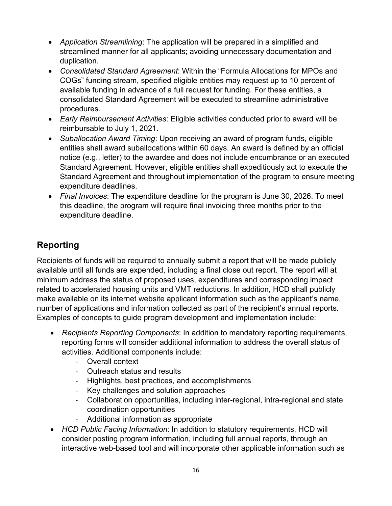- *Application Streamlining*: The application will be prepared in a simplified and streamlined manner for all applicants; avoiding unnecessary documentation and duplication.
- *Consolidated Standard Agreement*: Within the "Formula Allocations for MPOs and COGs" funding stream, specified eligible entities may request up to 10 percent of available funding in advance of a full request for funding. For these entities, a consolidated Standard Agreement will be executed to streamline administrative procedures.
- *Early Reimbursement Activities*: Eligible activities conducted prior to award will be reimbursable to July 1, 2021.
- *Suballocation Award Timing*: Upon receiving an award of program funds, eligible entities shall award suballocations within 60 days. An award is defined by an official notice (e.g., letter) to the awardee and does not include encumbrance or an executed Standard Agreement. However, eligible entities shall expeditiously act to execute the Standard Agreement and throughout implementation of the program to ensure meeting expenditure deadlines.
- *Final Invoices*: The expenditure deadline for the program is June 30, 2026. To meet this deadline, the program will require final invoicing three months prior to the expenditure deadline.

# **Reporting**

Recipients of funds will be required to annually submit a report that will be made publicly available until all funds are expended, including a final close out report. The report will at minimum address the status of proposed uses, expenditures and corresponding impact related to accelerated housing units and VMT reductions. In addition, HCD shall publicly make available on its internet website applicant information such as the applicant's name, number of applications and information collected as part of the recipient's annual reports. Examples of concepts to guide program development and implementation include:

- *Recipients Reporting Components*: In addition to mandatory reporting requirements, reporting forms will consider additional information to address the overall status of activities. Additional components include:
	- Overall context
	- Outreach status and results
	- Highlights, best practices, and accomplishments
	- Key challenges and solution approaches
	- Collaboration opportunities, including inter-regional, intra-regional and state coordination opportunities
	- Additional information as appropriate
- *HCD Public Facing Information*: In addition to statutory requirements, HCD will consider posting program information, including full annual reports, through an interactive web-based tool and will incorporate other applicable information such as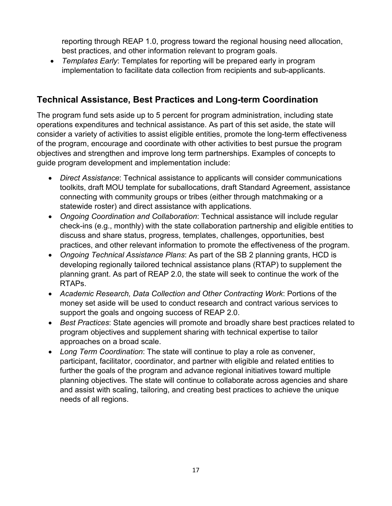reporting through REAP 1.0, progress toward the regional housing need allocation, best practices, and other information relevant to program goals.

• *Templates Early*: Templates for reporting will be prepared early in program implementation to facilitate data collection from recipients and sub-applicants.

### **Technical Assistance, Best Practices and Long-term Coordination**

The program fund sets aside up to 5 percent for program administration, including state operations expenditures and technical assistance. As part of this set aside, the state will consider a variety of activities to assist eligible entities, promote the long-term effectiveness of the program, encourage and coordinate with other activities to best pursue the program objectives and strengthen and improve long term partnerships. Examples of concepts to guide program development and implementation include:

- *Direct Assistance*: Technical assistance to applicants will consider communications toolkits, draft MOU template for suballocations, draft Standard Agreement, assistance connecting with community groups or tribes (either through matchmaking or a statewide roster) and direct assistance with applications.
- *Ongoing Coordination and Collaboration*: Technical assistance will include regular check-ins (e.g., monthly) with the state collaboration partnership and eligible entities to discuss and share status, progress, templates, challenges, opportunities, best practices, and other relevant information to promote the effectiveness of the program.
- *Ongoing Technical Assistance Plans*: As part of the SB 2 planning grants, HCD is developing regionally tailored technical assistance plans (RTAP) to supplement the planning grant. As part of REAP 2.0, the state will seek to continue the work of the RTAPs.
- *Academic Research, Data Collection and Other Contracting Work*: Portions of the money set aside will be used to conduct research and contract various services to support the goals and ongoing success of REAP 2.0.
- *Best Practices*: State agencies will promote and broadly share best practices related to program objectives and supplement sharing with technical expertise to tailor approaches on a broad scale.
- *Long Term Coordination*: The state will continue to play a role as convener, participant, facilitator, coordinator, and partner with eligible and related entities to further the goals of the program and advance regional initiatives toward multiple planning objectives. The state will continue to collaborate across agencies and share and assist with scaling, tailoring, and creating best practices to achieve the unique needs of all regions.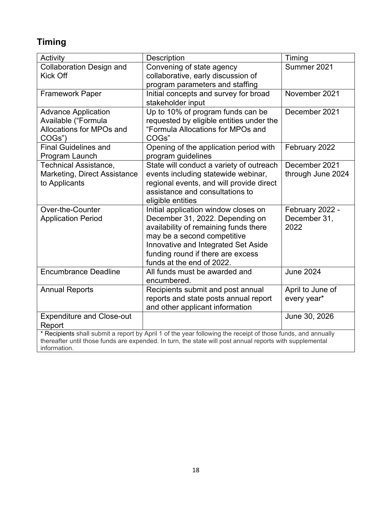# **Timing**

| Activity                                                                                                     | Description                                                | Timing                          |  |  |
|--------------------------------------------------------------------------------------------------------------|------------------------------------------------------------|---------------------------------|--|--|
| <b>Collaboration Design and</b>                                                                              | Convening of state agency                                  | Summer 2021                     |  |  |
| <b>Kick Off</b>                                                                                              | collaborative, early discussion of                         |                                 |  |  |
|                                                                                                              | program parameters and staffing                            | November 2021                   |  |  |
| <b>Framework Paper</b>                                                                                       | Initial concepts and survey for broad<br>stakeholder input |                                 |  |  |
| <b>Advance Application</b>                                                                                   | Up to 10% of program funds can be                          | December 2021                   |  |  |
| Available ("Formula                                                                                          | requested by eligible entities under the                   |                                 |  |  |
| Allocations for MPOs and<br>COGs")                                                                           | "Formula Allocations for MPOs and<br>COGs"                 |                                 |  |  |
| <b>Final Guidelines and</b>                                                                                  | Opening of the application period with                     | February 2022                   |  |  |
| Program Launch                                                                                               | program guidelines                                         |                                 |  |  |
| <b>Technical Assistance,</b>                                                                                 | State will conduct a variety of outreach                   | December 2021                   |  |  |
| Marketing, Direct Assistance                                                                                 | events including statewide webinar,                        | through June 2024               |  |  |
| to Applicants                                                                                                | regional events, and will provide direct                   |                                 |  |  |
|                                                                                                              | assistance and consultations to                            |                                 |  |  |
| Over-the-Counter                                                                                             | eligible entities<br>Initial application window closes on  |                                 |  |  |
| <b>Application Period</b>                                                                                    | December 31, 2022. Depending on                            | February 2022 -<br>December 31, |  |  |
|                                                                                                              | availability of remaining funds there                      | 2022                            |  |  |
|                                                                                                              | may be a second competitive                                |                                 |  |  |
|                                                                                                              | Innovative and Integrated Set Aside                        |                                 |  |  |
|                                                                                                              | funding round if there are excess                          |                                 |  |  |
|                                                                                                              | funds at the end of 2022.                                  |                                 |  |  |
| <b>Encumbrance Deadline</b>                                                                                  | All funds must be awarded and                              | <b>June 2024</b>                |  |  |
|                                                                                                              | encumbered.                                                |                                 |  |  |
| <b>Annual Reports</b>                                                                                        | Recipients submit and post annual                          | April to June of                |  |  |
|                                                                                                              | reports and state posts annual report                      | every year*                     |  |  |
|                                                                                                              | and other applicant information                            |                                 |  |  |
| <b>Expenditure and Close-out</b><br>Report                                                                   |                                                            | June 30, 2026                   |  |  |
| * Recipients shall submit a report by April 1 of the year following the receipt of those funds, and annually |                                                            |                                 |  |  |
| thereafter until those funds are expended. In turn, the state will post annual reports with supplemental     |                                                            |                                 |  |  |
| information.                                                                                                 |                                                            |                                 |  |  |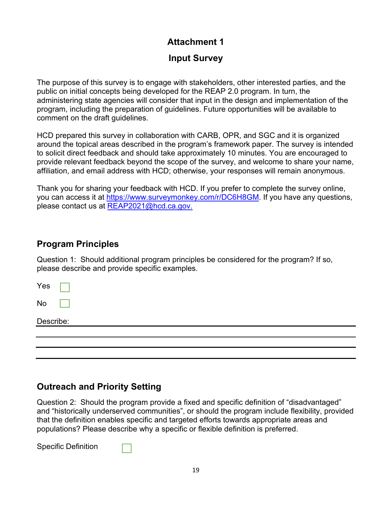#### **Attachment 1**

#### **Input Survey**

The purpose of this survey is to engage with stakeholders, other interested parties, and the public on initial concepts being developed for the REAP 2.0 program. In turn, the administering state agencies will consider that input in the design and implementation of the program, including the preparation of guidelines. Future opportunities will be available to comment on the draft guidelines.

HCD prepared this survey in collaboration with CARB, OPR, and SGC and it is organized around the topical areas described in the program's framework paper. The survey is intended to solicit direct feedback and should take approximately 10 minutes. You are encouraged to provide relevant feedback beyond the scope of the survey, and welcome to share your name, affiliation, and email address with HCD; otherwise, your responses will remain anonymous.

Thank you for sharing your feedback with HCD. If you prefer to complete the survey online, you can access it at [https://www.surveymonkey.com/r/DC6H8GM.](https://www.surveymonkey.com/r/DC6H8GM) If you have any questions, please contact us at [REAP2021@hcd.ca.gov.](mailto:ProhousingIncentive@hcd.ca.gov)

#### **Program Principles**

Question 1: Should additional program principles be considered for the program? If so, please describe and provide specific examples.

Yes No

Describe:

#### **Outreach and Priority Setting**

Question 2: Should the program provide a fixed and specific definition of "disadvantaged" and "historically underserved communities", or should the program include flexibility, provided that the definition enables specific and targeted efforts towards appropriate areas and populations? Please describe why a specific or flexible definition is preferred.

Specific Definition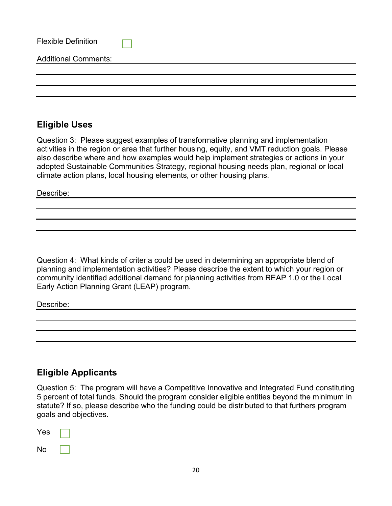| <b>Flexible Definition</b>  |  |
|-----------------------------|--|
| <b>Additional Comments:</b> |  |
|                             |  |
|                             |  |

#### **Eligible Uses**

Question 3: Please suggest examples of transformative planning and implementation activities in the region or area that further housing, equity, and VMT reduction goals. Please also describe where and how examples would help implement strategies or actions in your adopted Sustainable Communities Strategy, regional housing needs plan, regional or local climate action plans, local housing elements, or other housing plans.

Describe:

Question 4: What kinds of criteria could be used in determining an appropriate blend of planning and implementation activities? Please describe the extent to which your region or community identified additional demand for planning activities from REAP 1.0 or the Local Early Action Planning Grant (LEAP) program.

Describe:

### **Eligible Applicants**

Question 5: The program will have a Competitive Innovative and Integrated Fund constituting 5 percent of total funds. Should the program consider eligible entities beyond the minimum in statute? If so, please describe who the funding could be distributed to that furthers program goals and objectives.

| Yes |  |
|-----|--|
| No  |  |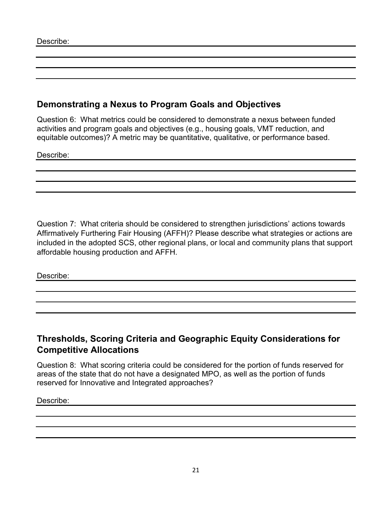#### **Demonstrating a Nexus to Program Goals and Objectives**

Question 6: What metrics could be considered to demonstrate a nexus between funded activities and program goals and objectives (e.g., housing goals, VMT reduction, and equitable outcomes)? A metric may be quantitative, qualitative, or performance based.

Describe:

Question 7: What criteria should be considered to strengthen jurisdictions' actions towards Affirmatively Furthering Fair Housing (AFFH)? Please describe what strategies or actions are included in the adopted SCS, other regional plans, or local and community plans that support affordable housing production and AFFH.

Describe:

#### **Thresholds, Scoring Criteria and Geographic Equity Considerations for Competitive Allocations**

Question 8: What scoring criteria could be considered for the portion of funds reserved for areas of the state that do not have a designated MPO, as well as the portion of funds reserved for Innovative and Integrated approaches?

Describe: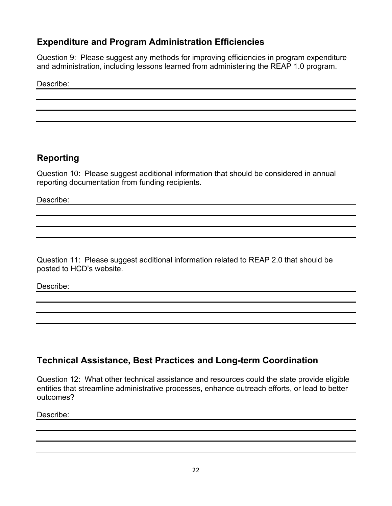#### **Expenditure and Program Administration Efficiencies**

Question 9: Please suggest any methods for improving efficiencies in program expenditure and administration, including lessons learned from administering the REAP 1.0 program.

Describe:

# **Reporting**

Question 10: Please suggest additional information that should be considered in annual reporting documentation from funding recipients.

Describe:

Question 11: Please suggest additional information related to REAP 2.0 that should be posted to HCD's website.

Describe:

# **Technical Assistance, Best Practices and Long-term Coordination**

Question 12: What other technical assistance and resources could the state provide eligible entities that streamline administrative processes, enhance outreach efforts, or lead to better outcomes?

Describe: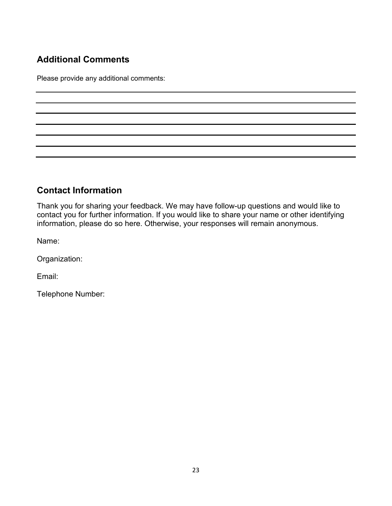# **Additional Comments**

Please provide any additional comments:

# **Contact Information**

Thank you for sharing your feedback. We may have follow-up questions and would like to contact you for further information. If you would like to share your name or other identifying information, please do so here. Otherwise, your responses will remain anonymous.

Name:

Organization:

Email:

Telephone Number: